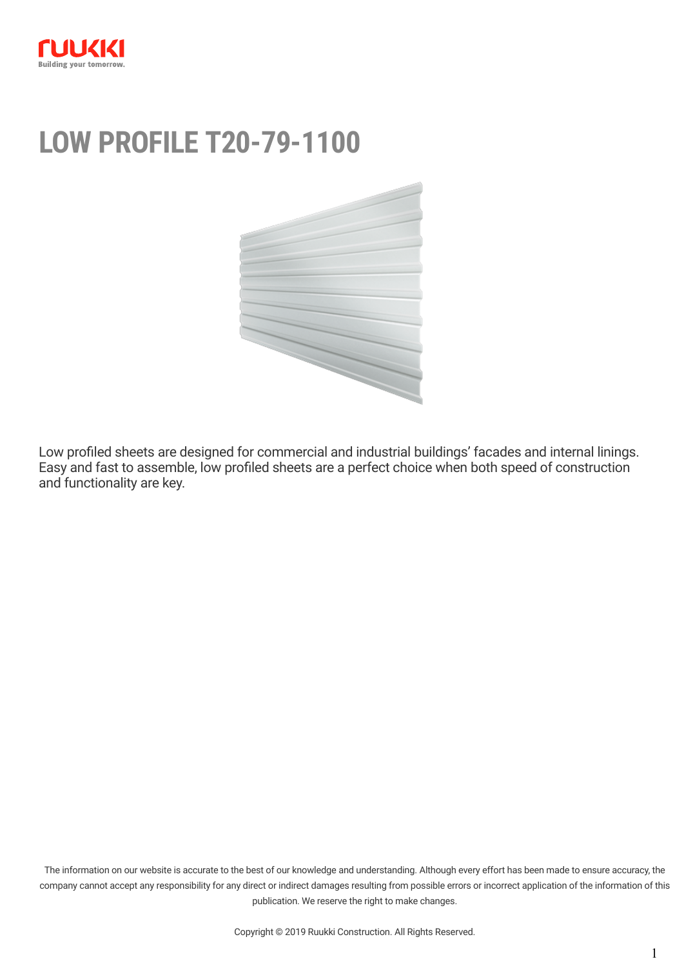

# **LOW PROFILE T20-79-1100**



Low profiled sheets are designed for commercial and industrial buildings' facades and internal linings. Easy and fast to assemble, low profiled sheets are a perfect choice when both speed of construction and functionality are key.

The information on our website is accurate to the best of our knowledge and understanding. Although every effort has been made to ensure accuracy, the company cannot accept any responsibility for any direct or indirect damages resulting from possible errors or incorrect application of the information of this publication. We reserve the right to make changes.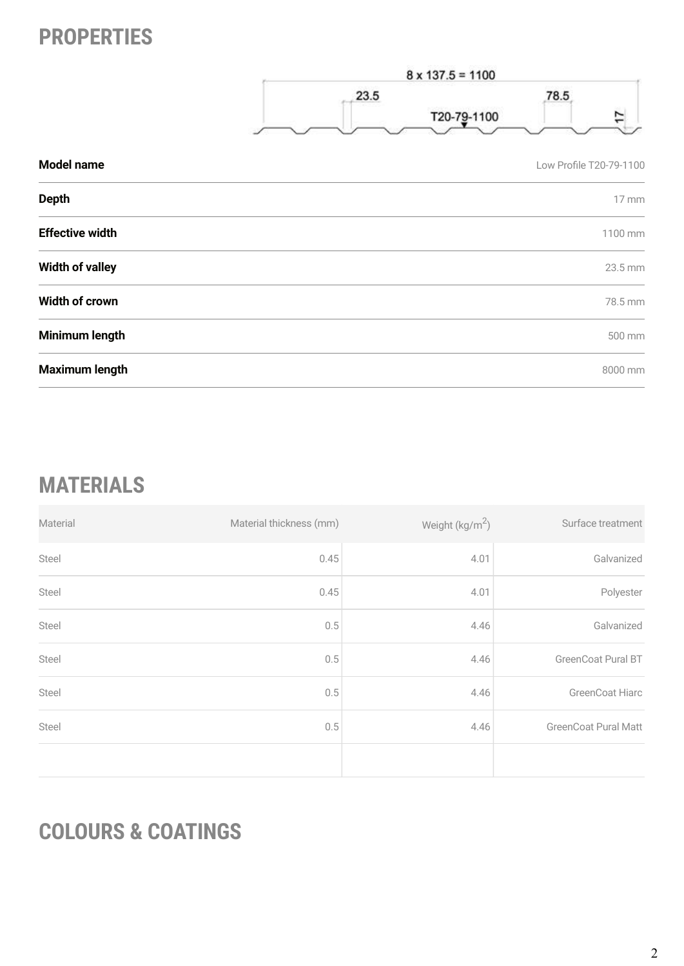### **PROPERTIES**



| Model name             | Low Profile T20-79-1100 |
|------------------------|-------------------------|
| <b>Depth</b>           | 17 mm                   |
| <b>Effective width</b> | 1100 mm                 |
| <b>Width of valley</b> | 23.5 mm                 |
| <b>Width of crown</b>  | 78.5 mm                 |
| Minimum length         | 500 mm                  |
| <b>Maximum length</b>  | 8000 mm                 |

## **MATERIALS**

| Material | Material thickness (mm) | Weight (kg/m <sup>2</sup> ) | Surface treatment           |
|----------|-------------------------|-----------------------------|-----------------------------|
| Steel    | 0.45                    | 4.01                        | Galvanized                  |
| Steel    | 0.45                    | 4.01                        | Polyester                   |
| Steel    | 0.5                     | 4.46                        | Galvanized                  |
| Steel    | 0.5                     | 4.46                        | GreenCoat Pural BT          |
| Steel    | 0.5                     | 4.46                        | <b>GreenCoat Hiarc</b>      |
| Steel    | 0.5                     | 4.46                        | <b>GreenCoat Pural Matt</b> |
|          |                         |                             |                             |

## **COLOURS & COATINGS**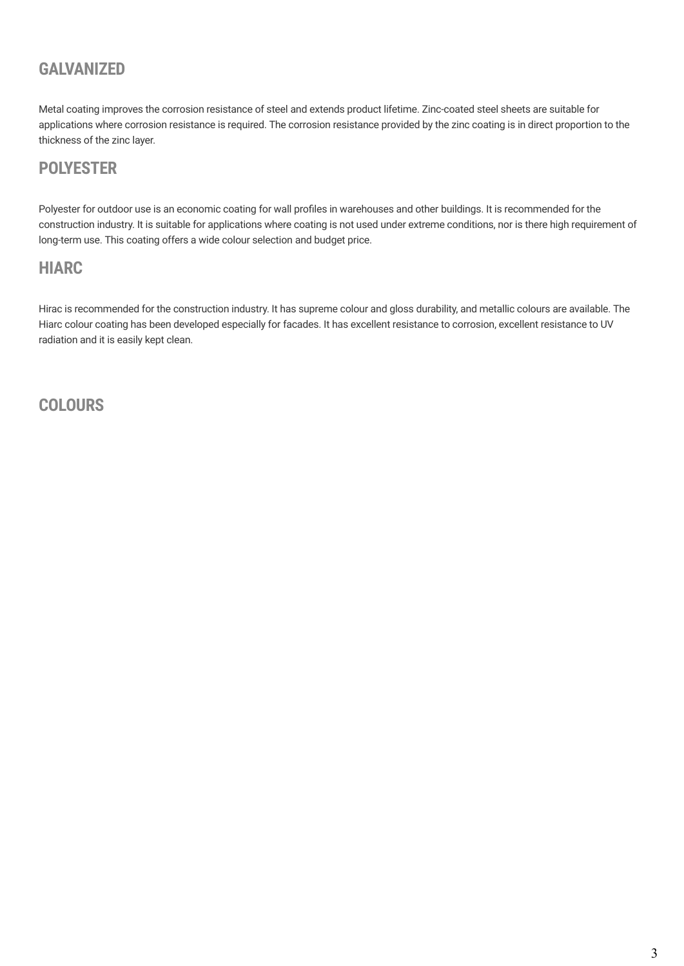#### **GALVANIZED**

Metal coating improves the corrosion resistance of steel and extends product lifetime. Zinc-coated steel sheets are suitable for applications where corrosion resistance is required. The corrosion resistance provided by the zinc coating is in direct proportion to the thickness of the zinc layer.

#### **POLYESTER**

Polyester for outdoor use is an economic coating for wall profiles in warehouses and other buildings. It is recommended for the construction industry. It is suitable for applications where coating is not used under extreme conditions, nor is there high requirement of long-term use. This coating offers a wide colour selection and budget price.

#### **HIARC**

Hirac is recommended for the construction industry. It has supreme colour and gloss durability, and metallic colours are available. The Hiarc colour coating has been developed especially for facades. It has excellent resistance to corrosion, excellent resistance to UV radiation and it is easily kept clean.

**COLOURS**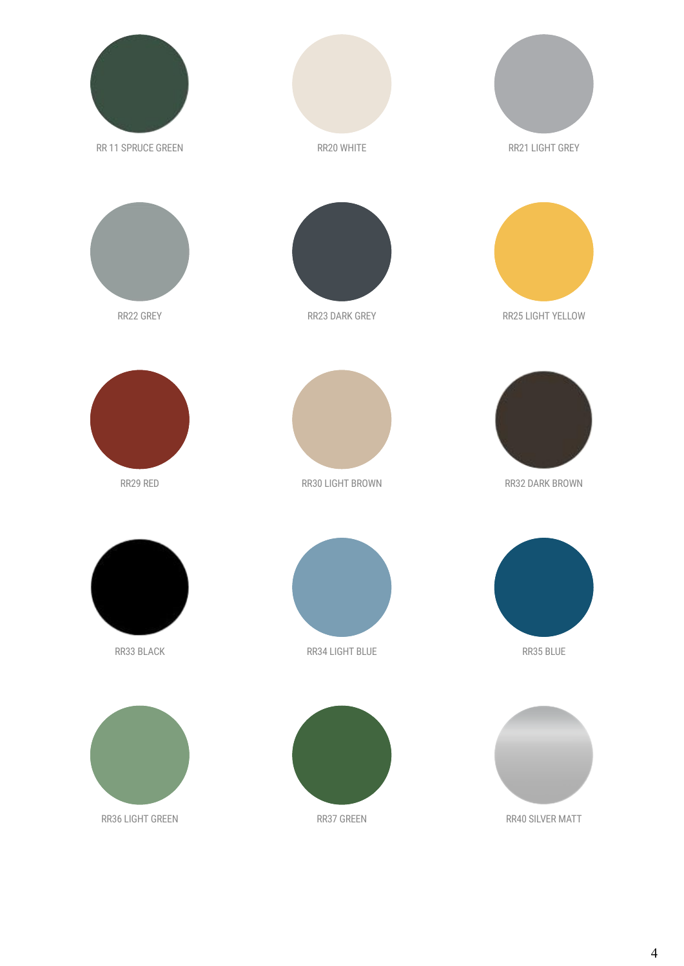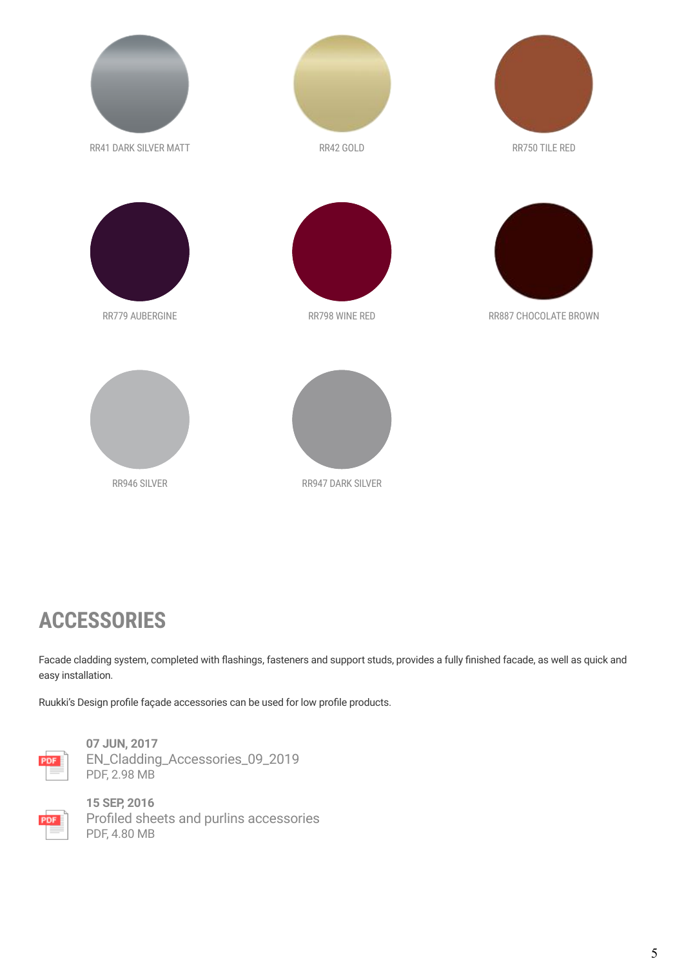

### **ACCESSORIES**

Facade cladding system, completed with flashings, fasteners and support studs, provides a fully finished facade, as well as quick and easy installation.

Ruukki's Design profile façade accessories can be used for low profile products.



**07 JUN, 2017** [EN\\_Cladding\\_Accessories\\_09\\_2019](https://cdn.ruukki.com/docs/default-source/b2b-documents/facades/en_cladding_accessories_09_2019.pdf?sfvrsn=f3ee7285_73) PDF, 2.98 MB



**15 SEP, 2016** [Profiled sheets and purlins accessories](https://cdn.ruukki.com/docs/default-source/b2b-documents/load-bearing-sheets/en_profiled_sheets_and_purlins_accessories_11_2016-(1).pdf?sfvrsn=71e8f84_38) PDF, 4.80 MB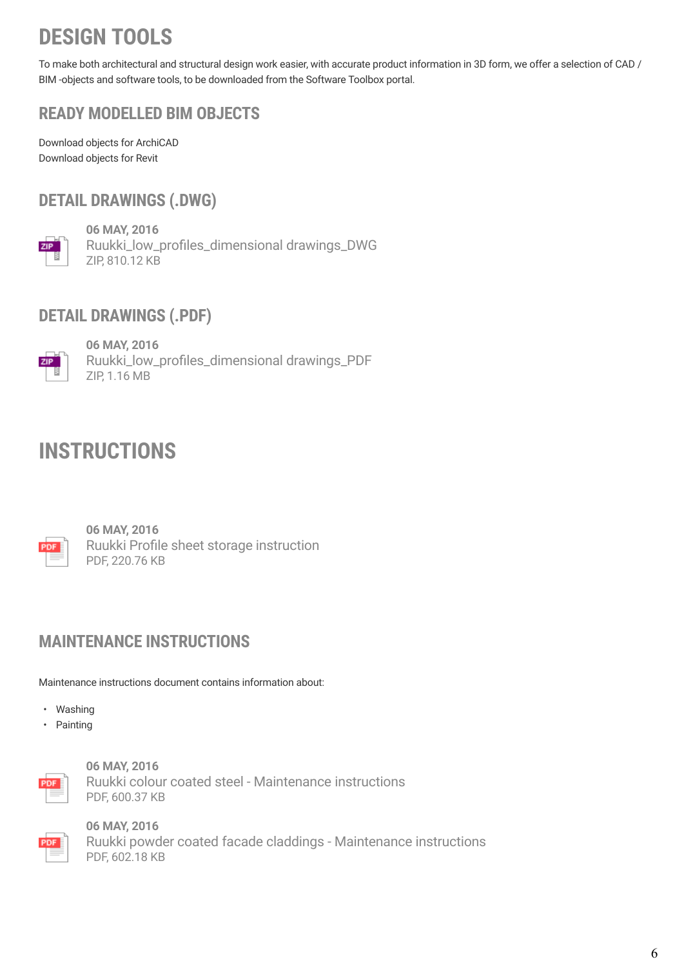## **DESIGN TOOLS**

To make both architectural and structural design work easier, with accurate product information in 3D form, we offer a selection of CAD / BIM -objects and software tools, to be downloaded from the [Software Toolbox portal](http://software.ruukki.com/).

### **READY MODELLED BIM OBJECTS**

[Download objects for ArchiCAD](https://software.ruukki.com/PublishedService?file=&pageID=3&action=view&groupID=330&OpenGroups=330) [Download objects for Revit](https://software.ruukki.com/PublishedService?file=&pageID=3&action=view&groupID=336&OpenGroups=336)

### **DETAIL DRAWINGS (.DWG)**



**06 MAY, 2016** [Ruukki\\_low\\_profiles\\_dimensional drawings\\_DWG](https://cdn.ruukki.com/docs/default-source/b2b-documents/facades/low-profiles/ruukki_low_profiles_dimensional_drawings_dwg.zip?sfvrsn=136ef584_22) ZIP, 810.12 KB

### **DETAIL DRAWINGS (.PDF)**



**06 MAY, 2016** [Ruukki\\_low\\_profiles\\_dimensional drawings\\_PDF](https://cdn.ruukki.com/docs/default-source/b2b-documents/facades/low-profiles/ruukki_low_profiles_dimensional_drawings_pdf.zip?sfvrsn=216ef584_26) ZIP, 1.16 MB

### **INSTRUCTIONS**



**06 MAY, 2016** [Ruukki Profile sheet storage instruction](https://cdn.ruukki.com/docs/default-source/b2b-documents/facades/low-profiles/ruukki-profile-sheet-storage-instruction.pdf?sfvrsn=ea6ef584_14) PDF, 220.76 KB

#### **MAINTENANCE INSTRUCTIONS**

Maintenance instructions document contains information about:

- Washing
- Painting



**06 MAY, 2016** [Ruukki colour coated steel - Maintenance instructions](https://cdn.ruukki.com/docs/default-source/b2b-documents/facades/joint-folder/ruukki-colour-coated-steels-maintenance-instructions.pdf?sfvrsn=9f5cf584_42) PDF, 600.37 KB



**06 MAY, 2016** [Ruukki powder coated facade claddings - Maintenance instructions](https://cdn.ruukki.com/docs/default-source/b2b-documents/facades/joint-folder/ruukki-maintenance-instructions-powder-coated-facade-claddings.pdf?sfvrsn=905cf584_30) PDF, 602.18 KB